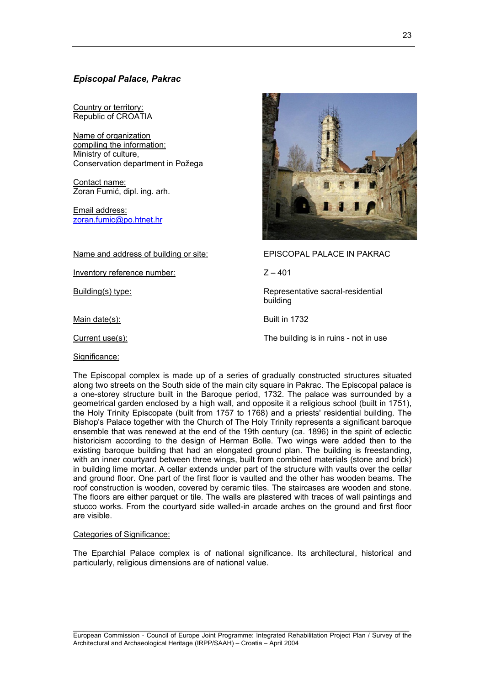# *Episcopal Palace, Pakrac*

Country or territory: Republic of CROATIA

Name of organization compiling the information: Ministry of culture, Conservation department in Požega

Contact name: Zoran Fumić, dipl. ing. arh.

Email address: [zoran.fumic@po.htnet.hr](mailto:zoran.fumic@po.htnet.hr)

Name and address of building or site: EPISCOPAL PALACE IN PAKRAC

Inventory reference number: Z – 401

Main date(s): Built in 1732

Significance:



Building(s) type: Representative sacral-residential Representative sacral-residential building

Current use(s): The building is in ruins - not in use

The Episcopal complex is made up of a series of gradually constructed structures situated along two streets on the South side of the main city square in Pakrac. The Episcopal palace is a one-storey structure built in the Baroque period, 1732. The palace was surrounded by a geometrical garden enclosed by a high wall, and opposite it a religious school (built in 1751), the Holy Trinity Episcopate (built from 1757 to 1768) and a priests' residential building. The Bishop's Palace together with the Church of The Holy Trinity represents a significant baroque ensemble that was renewed at the end of the 19th century (ca. 1896) in the spirit of eclectic historicism according to the design of Herman Bolle. Two wings were added then to the existing baroque building that had an elongated ground plan. The building is freestanding, with an inner courtyard between three wings, built from combined materials (stone and brick) in building lime mortar. A cellar extends under part of the structure with vaults over the cellar and ground floor. One part of the first floor is vaulted and the other has wooden beams. The roof construction is wooden, covered by ceramic tiles. The staircases are wooden and stone. The floors are either parquet or tile. The walls are plastered with traces of wall paintings and stucco works. From the courtyard side walled-in arcade arches on the ground and first floor are visible.

# Categories of Significance:

The Eparchial Palace complex is of national significance. Its architectural, historical and particularly, religious dimensions are of national value.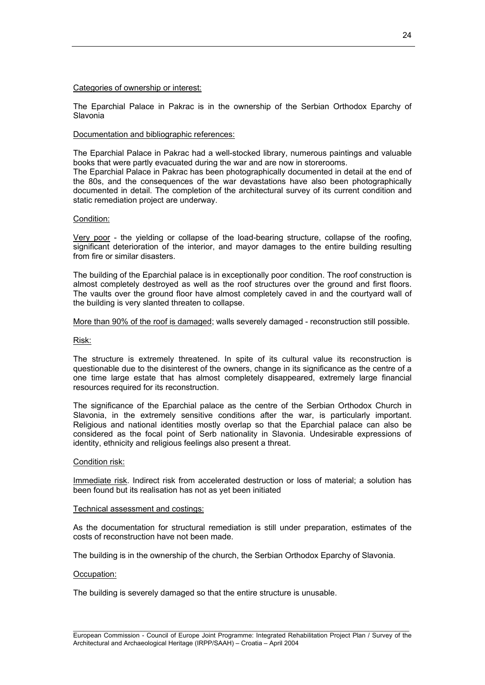## Categories of ownership or interest:

The Eparchial Palace in Pakrac is in the ownership of the Serbian Orthodox Eparchy of Slavonia

# Documentation and bibliographic references:

The Eparchial Palace in Pakrac had a well-stocked library, numerous paintings and valuable books that were partly evacuated during the war and are now in storerooms.

The Eparchial Palace in Pakrac has been photographically documented in detail at the end of the 80s, and the consequences of the war devastations have also been photographically documented in detail. The completion of the architectural survey of its current condition and static remediation project are underway.

## Condition:

Very poor - the yielding or collapse of the load-bearing structure, collapse of the roofing, significant deterioration of the interior, and mayor damages to the entire building resulting from fire or similar disasters.

The building of the Eparchial palace is in exceptionally poor condition. The roof construction is almost completely destroyed as well as the roof structures over the ground and first floors. The vaults over the ground floor have almost completely caved in and the courtyard wall of the building is very slanted threaten to collapse.

## More than 90% of the roof is damaged; walls severely damaged - reconstruction still possible.

## Risk:

The structure is extremely threatened. In spite of its cultural value its reconstruction is questionable due to the disinterest of the owners, change in its significance as the centre of a one time large estate that has almost completely disappeared, extremely large financial resources required for its reconstruction.

The significance of the Eparchial palace as the centre of the Serbian Orthodox Church in Slavonia, in the extremely sensitive conditions after the war, is particularly important. Religious and national identities mostly overlap so that the Eparchial palace can also be considered as the focal point of Serb nationality in Slavonia. Undesirable expressions of identity, ethnicity and religious feelings also present a threat.

#### Condition risk:

Immediate risk. Indirect risk from accelerated destruction or loss of material; a solution has been found but its realisation has not as yet been initiated

#### Technical assessment and costings:

As the documentation for structural remediation is still under preparation, estimates of the costs of reconstruction have not been made.

The building is in the ownership of the church, the Serbian Orthodox Eparchy of Slavonia.

#### Occupation:

The building is severely damaged so that the entire structure is unusable.